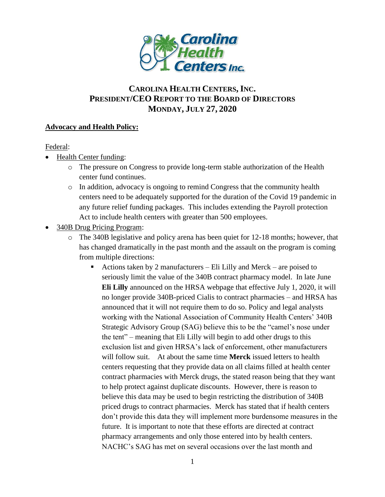

# **CAROLINA HEALTH CENTERS,INC. PRESIDENT/CEO REPORT TO THE BOARD OF DIRECTORS MONDAY, JULY 27, 2020**

### **Advocacy and Health Policy:**

Federal:

- Health Center funding:
	- o The pressure on Congress to provide long-term stable authorization of the Health center fund continues.
	- o In addition, advocacy is ongoing to remind Congress that the community health centers need to be adequately supported for the duration of the Covid 19 pandemic in any future relief funding packages. This includes extending the Payroll protection Act to include health centers with greater than 500 employees.
- 340B Drug Pricing Program:
	- o The 340B legislative and policy arena has been quiet for 12-18 months; however, that has changed dramatically in the past month and the assault on the program is coming from multiple directions:
		- Actions taken by 2 manufacturers Eli Lilly and Merck are poised to seriously limit the value of the 340B contract pharmacy model. In late June **Eli Lilly** announced on the HRSA webpage that effective July 1, 2020, it will no longer provide 340B-priced Cialis to contract pharmacies – and HRSA has announced that it will not require them to do so. Policy and legal analysts working with the National Association of Community Health Centers' 340B Strategic Advisory Group (SAG) believe this to be the "camel's nose under the tent" – meaning that Eli Lilly will begin to add other drugs to this exclusion list and given HRSA's lack of enforcement, other manufacturers will follow suit. At about the same time **Merck** issued letters to health centers requesting that they provide data on all claims filled at health center contract pharmacies with Merck drugs, the stated reason being that they want to help protect against duplicate discounts. However, there is reason to believe this data may be used to begin restricting the distribution of 340B priced drugs to contract pharmacies. Merck has stated that if health centers don't provide this data they will implement more burdensome measures in the future. It is important to note that these efforts are directed at contract pharmacy arrangements and only those entered into by health centers. NACHC's SAG has met on several occasions over the last month and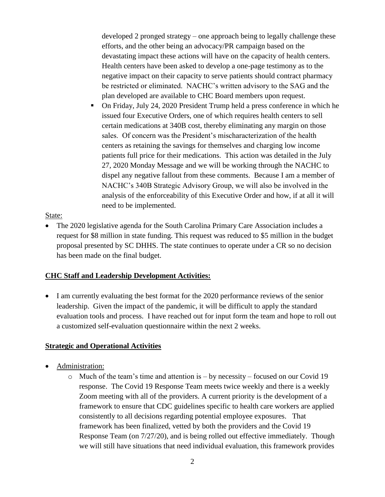developed 2 pronged strategy – one approach being to legally challenge these efforts, and the other being an advocacy/PR campaign based on the devastating impact these actions will have on the capacity of health centers. Health centers have been asked to develop a one-page testimony as to the negative impact on their capacity to serve patients should contract pharmacy be restricted or eliminated. NACHC's written advisory to the SAG and the plan developed are available to CHC Board members upon request.

 On Friday, July 24, 2020 President Trump held a press conference in which he issued four Executive Orders, one of which requires health centers to sell certain medications at 340B cost, thereby eliminating any margin on those sales. Of concern was the President's mischaracterization of the health centers as retaining the savings for themselves and charging low income patients full price for their medications. This action was detailed in the July 27, 2020 Monday Message and we will be working through the NACHC to dispel any negative fallout from these comments. Because I am a member of NACHC's 340B Strategic Advisory Group, we will also be involved in the analysis of the enforceability of this Executive Order and how, if at all it will need to be implemented.

#### State:

• The 2020 legislative agenda for the South Carolina Primary Care Association includes a request for \$8 million in state funding. This request was reduced to \$5 million in the budget proposal presented by SC DHHS. The state continues to operate under a CR so no decision has been made on the final budget.

### **CHC Staff and Leadership Development Activities:**

• I am currently evaluating the best format for the 2020 performance reviews of the senior leadership. Given the impact of the pandemic, it will be difficult to apply the standard evaluation tools and process. I have reached out for input form the team and hope to roll out a customized self-evaluation questionnaire within the next 2 weeks.

### **Strategic and Operational Activities**

- Administration:
	- $\circ$  Much of the team's time and attention is by necessity focused on our Covid 19 response. The Covid 19 Response Team meets twice weekly and there is a weekly Zoom meeting with all of the providers. A current priority is the development of a framework to ensure that CDC guidelines specific to health care workers are applied consistently to all decisions regarding potential employee exposures. That framework has been finalized, vetted by both the providers and the Covid 19 Response Team (on 7/27/20), and is being rolled out effective immediately. Though we will still have situations that need individual evaluation, this framework provides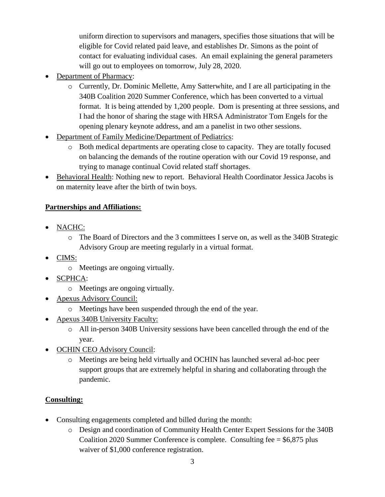uniform direction to supervisors and managers, specifies those situations that will be eligible for Covid related paid leave, and establishes Dr. Simons as the point of contact for evaluating individual cases. An email explaining the general parameters will go out to employees on tomorrow, July 28, 2020.

- Department of Pharmacy:
	- o Currently, Dr. Dominic Mellette, Amy Satterwhite, and I are all participating in the 340B Coalition 2020 Summer Conference, which has been converted to a virtual format. It is being attended by 1,200 people. Dom is presenting at three sessions, and I had the honor of sharing the stage with HRSA Administrator Tom Engels for the opening plenary keynote address, and am a panelist in two other sessions.
- Department of Family Medicine/Department of Pediatrics:
	- o Both medical departments are operating close to capacity. They are totally focused on balancing the demands of the routine operation with our Covid 19 response, and trying to manage continual Covid related staff shortages.
- Behavioral Health: Nothing new to report. Behavioral Health Coordinator Jessica Jacobs is on maternity leave after the birth of twin boys.

## **Partnerships and Affiliations:**

- NACHC:
	- o The Board of Directors and the 3 committees I serve on, as well as the 340B Strategic Advisory Group are meeting regularly in a virtual format.
- $\bullet$  CIMS:
	- o Meetings are ongoing virtually.
- SCPHCA:
	- o Meetings are ongoing virtually.
- Apexus Advisory Council:
	- o Meetings have been suspended through the end of the year.
- Apexus 340B University Faculty:
	- o All in-person 340B University sessions have been cancelled through the end of the year.
- OCHIN CEO Advisory Council:
	- o Meetings are being held virtually and OCHIN has launched several ad-hoc peer support groups that are extremely helpful in sharing and collaborating through the pandemic.

### **Consulting:**

- Consulting engagements completed and billed during the month:
	- o Design and coordination of Community Health Center Expert Sessions for the 340B Coalition 2020 Summer Conference is complete. Consulting fee = \$6,875 plus waiver of \$1,000 conference registration.